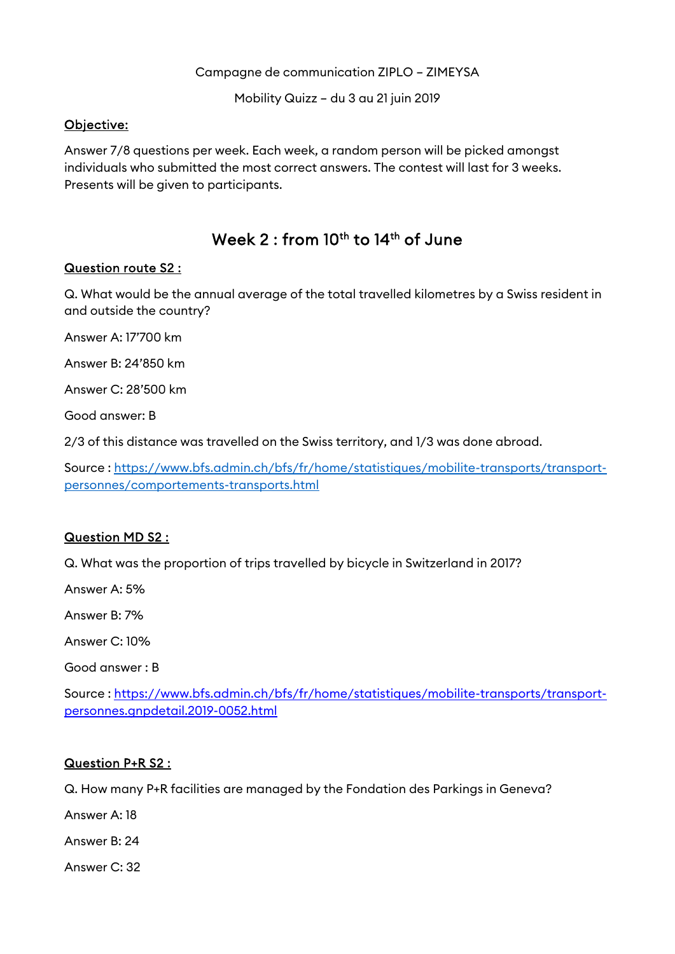Campagne de communication ZIPLO – ZIMEYSA

Mobility Quizz – du 3 au 21 juin 2019

# Objective:

Answer 7/8 questions per week. Each week, a random person will be picked amongst individuals who submitted the most correct answers. The contest will last for 3 weeks. Presents will be given to participants.

# Week 2 : from 10<sup>th</sup> to 14<sup>th</sup> of June

## Question route S2 :

Q. What would be the annual average of the total travelled kilometres by a Swiss resident in and outside the country?

Answer A: 17'700 km

Answer B: 24'850 km

Answer C: 28'500 km

Good answer: B

2/3 of this distance was travelled on the Swiss territory, and 1/3 was done abroad.

Source : https://www.bfs.admin.ch/bfs/fr/home/statistiques/mobilite-transports/transportpersonnes/comportements-transports.html

### Question MD S2 :

Q. What was the proportion of trips travelled by bicycle in Switzerland in 2017?

Answer A: 5%

Answer B: 7%

Answer C: 10%

Good answer : B

Source : https://www.bfs.admin.ch/bfs/fr/home/statistiques/mobilite-transports/transportpersonnes.gnpdetail.2019-0052.html

### Question P+R S2 :

Q. How many P+R facilities are managed by the Fondation des Parkings in Geneva?

Answer A: 18

Answer B: 24

Answer C: 32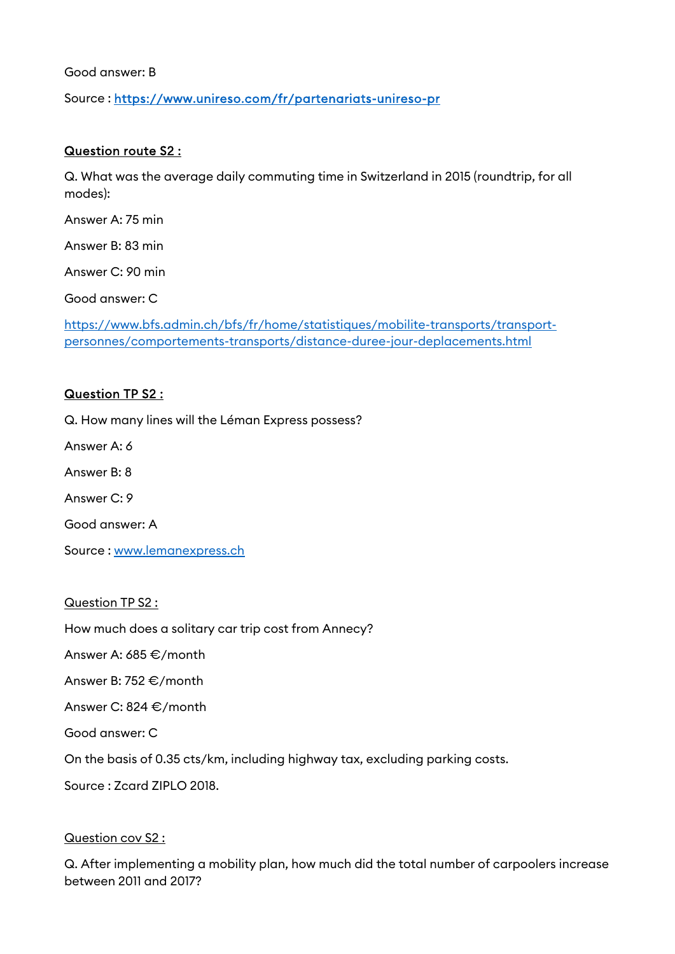Good answer: B

Source : https://www.unireso.com/fr/partenariats-unireso-pr

### Question route S2 :

Q. What was the average daily commuting time in Switzerland in 2015 (roundtrip, for all modes):

Answer A: 75 min

Answer B: 83 min

Answer C: 90 min

Good answer: C

https://www.bfs.admin.ch/bfs/fr/home/statistiques/mobilite-transports/transportpersonnes/comportements-transports/distance-duree-jour-deplacements.html

#### Question TP S2 :

Q. How many lines will the Léman Express possess?

Answer A: 6

Answer B: 8

Answer C: 9

Good answer: A

Source : www.lemanexpress.ch

Question TP S2 :

How much does a solitary car trip cost from Annecy?

Answer A: 685 €/month

Answer B: 752 €/month

Answer C: 824 €/month

Good answer: C

On the basis of 0.35 cts/km, including highway tax, excluding parking costs.

Source : Zcard ZIPLO 2018.

#### Question cov S2 :

Q. After implementing a mobility plan, how much did the total number of carpoolers increase between 2011 and 2017?